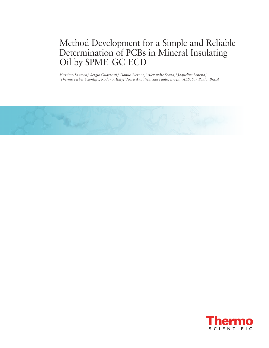# Method Development for a Simple and Reliable Determination of PCBs in Mineral Insulating Oil by SPME-GC-ECD

Massimo Santoro,<sup>1</sup> Sergio Guazzotti,<sup>1</sup> Danilo Pierone,<sup>2</sup> Alexandre Souza,<sup>3</sup> Jaqueline Lorena,<sup>3</sup><br><sup>1</sup>Thermo Fisher Scientific, Rodano, Italy: <sup>2</sup>Nova Analitica, San Paulo, Brazil: <sup>3</sup>AES, San Paulo *Thermo Fisher Scientific, Rodano, Italy; 2Nova Analitica, San Paulo, Brazil; 3 AES, San Paulo, Brazil*



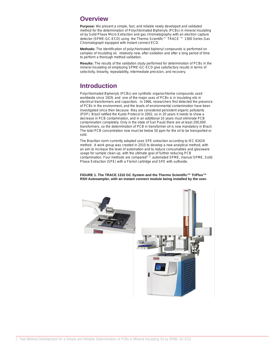## **Overview**

**Purpose:** We present a simple, fast, and reliable newly developed and validated method for the determination of Polychlorinated Biphenyls (PCBs) in mineral insulating oil by Solid Phase Micro Extraction and gas chromatography with an electron capture detector (SPME-GC-ECD) using the Thermo Scientific™ TRACE ™ 1300 Series Gas Chromatograph equipped with instant connect ECD.

**Methods:** The identification of polychlorinated biphenyl compounds is performed on samples of insulating oil, relatively new, after oxidation and after a long period of time to perform a thorough method validation.

**Results:** The results of the validation study performed for determination of PCBs in the mineral insulating oil employing SPME-GC-ECD give satisfactory results in terms of selectivity, linearity, repeatability, intermediate precision, and recovery.

## **Introduction**

Polychlorinated Biphenyls (PCBs) are synthetic organochlorine compounds used worldwide since 1929, and one of the major uses of PCBs is in insulating oils in electrical transformers and capacitors. In 1966, researchers first detected the presence of PCBs in the environment, and the levels of environmental contamination have been investigated since then because they are considered persistent organic pollutants (POP). Brazil ratified the Kyoto Protocol in 2002, so in 20 years it needs to show a decrease in PCB contamination, and in an additional 10 years must eliminate PCB contamination completely. Only in the state of San Paulo there are at least 200,000 transformers, so the determination of PCB in transformer oil is now mandatory in Brazil. The total PCB concentration now must be below 50 ppm for the oil to be transported or sold.

The Brazilian norm currently adopted uses SPE extraction according to IEC 61619 method. A work group was created in 2010 to develop a new analytical method, with an aim to increase the level of automation and to reduce consumables and glassware usage for sample clean-up, with the ultimate goal of further reducing PCB contamination. Four methods are compared<sup>1-3</sup>: automated SPME, manual SPME, Solid Phase Extraction (SPE) with a Florisil cartridge and SPE with sulfoxide.

**FIGURE 1. The TRACE 1310 GC System and the Thermo Scientific™ TriPlus™ RSH Autosampler, with an instant connect module being installed by the user.**

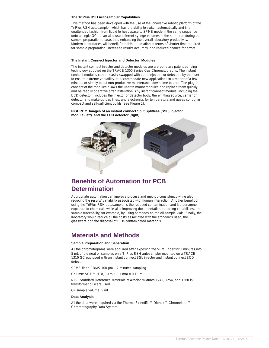### **The TriPlus RSH Autosampler Capabilities**

This method has been developed with the use of the innovative robotic platform of the TriPlus RSH autosampler, which has the ability to switch automatically and in an unattended fashion from liquid to headspace to SPME mode in the same sequence onto a single GC. It can also use different syringe volumes in the same run during the sample preparation phase, thus enhancing the overall laboratory productivity. Modern laboratories will benefit from this automation in terms of shorter time required for sample preparation, increased results accuracy, and reduced chance for errors.

### **The Instant Connect Injector and Detector Modules**

The instant connect injector and detector modules are a proprietary patent-pending technology adopted on the TRACE 1300 Series Gas Chromatographs. The instant connect modules can be easily swapped with other injectors or detectors by the user to ensure extreme versatility, to accommodate new applications in a matter of a few minutes or simply to cut non-productive maintenance down time to zero. The plug-in concept of the modules allows the user to mount modules and replace them quickly and be readily operative after installation. Any instant connect module, including the ECD detector, includes the injector or detector body, the emitting source, carrier or detector and make-up gas lines, and electronics for temperature and gases control in compact and self-sufficient builds (see Figure 2).

**FIGURE 2. Images of an instant connect Split/Splitless (SSL) injector module (left) and the ECD detector (right).**



## **Benefits of Automation for PCB Determination**

Appropriate automation can improve process and method consistency while also reducing the results' variability associated with human interaction. Another benefit of using the TriPlus RSH autosampler is the reduced contamination and lab personnel exposure to chemicals while also improving documentation, reporting capabilities, and sample traceability, for example, by using barcodes on the oil sample vials. Finally, the laboratory would reduce all the costs associated with the standards used, the glassware and the disposal of PCB-contaminated materials.

## **Materials and Methods**

### **Sample Preparation and Separation**

All the chromatograms were acquired after exposing the SPME fiber for 2 minutes into 5 mL of the neat oil samples on a TriPlus RSH autosampler mounted on a TRACE 1310 GC equipped with an instant connect SSL injector and instant connect ECD detector.

SPME fiber: PDMS 100 µm – 2 minutes sampling

Column: SGE™ HT8, 10 m × 0.1 mm × 0.1 µm

NIST Standard Reference Materials of Aroclor mixtures 1242, 1254, and 1260 in transformer oil were used.

Oil sample volume: 5 mL

### **Data Analysis**

All the data were acquired via the Thermo Scientific™ Dionex™ Chromeleon™ Chromatography Data System..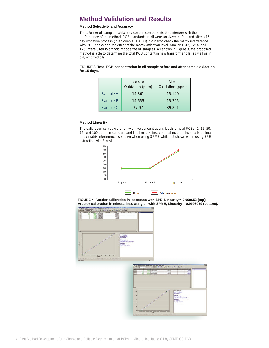## **Method Validation and Results**

## **Method Selectivity and Accuracy**

Transformer oil sample matrix may contain components that interfere with the performance of the method. PCB standards in oil were analyzed before and after a 15 day oxidation process (in an oven at 120˚ C) in order to check the matrix interference with PCB peaks and the effect of the matrix oxidation level. Aroclor 1242, 1254, and 1260 were used to artificially dope the oil samples. As shown in Figure 3, the proposed method is able to determine the total PCB content in new transformer oils, as well as in old, oxidized oils.

### **FIGURE 3. Total PCB concentration in oil sample before and after sample oxidation for 15 days.**

|          | <b>Before</b>   | After           |
|----------|-----------------|-----------------|
|          | Oxidation (ppm) | Oxidation (ppm) |
| Sample A | 14.361          | 15.140          |
| Sample B | 14.655          | 15.225          |
| Sample C | 37.97           | 39.801          |

### **Method Linearity**

The calibration curves were run with five concentrations levels of total PCBs (1, 15, 50, 75, and 100 ppm), in standard and in oil matrix. Instrumental method linearity is optimal, but a matrix interference is shown when using SPME while not shown when using SPE extraction with Florisil.





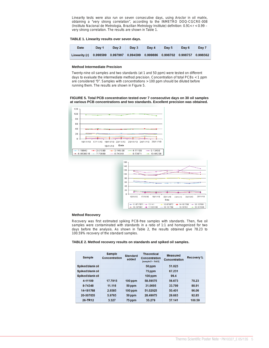Linearity tests were also run on seven consecutive days, using Aroclor in oil matrix, obtaining a "very strong correlation", according to the INMETRO DOQ-CGCRE-008 (Instituto Nacional de Metrologia, Brazilian Metrology Institute) definition: 0.91< r < 0.99 – very strong correlation. The results are shown in Table 1.

### **TABLE 1. Linearity results over seven days.**

| <b>Date</b>                                                                  | Dav 1 | Day 2 | Day 3 | Dav 4 Dav 5 | Day 6 | Day 7 |
|------------------------------------------------------------------------------|-------|-------|-------|-------------|-------|-------|
| Linearity (r) 0.998599 0.997997 0.994599 0.999886 0.998702 0.998757 0.998562 |       |       |       |             |       |       |

### **Method Intermediate Precision**

Twenty-nine oil samples and two standards (at 1 and 50 ppm) were tested on different days to evaluate the intermediate method precision. Concentration of total PCBs < 1 ppm are considered "0". Samples with concentrations > 100 ppm should be diluted before running them. The results are shown in Figure 5.





## **Method Recovery**

Recovery was first estimated spiking PCB-free samples with standards. Then, five oil samples were contaminated with standards in a ratio of 1:1 and homogenized for two days before the analysis. As shown in Table 2, the results obtained give 78.23 to 100.59% recovery of the standard samples.

**TABLE 2. Method recovery results on standards and spiked oil samples.**

| <b>Sample</b>           | <b>Sample</b><br>Concentration | <b>Standard</b><br>added | <b>Theoretical</b><br><b>Concentration</b><br>$[sample/2 + Std/2]$ | <b>Measured</b><br>Concentration | Recovery% |
|-------------------------|--------------------------------|--------------------------|--------------------------------------------------------------------|----------------------------------|-----------|
| Spiked blank oil        |                                |                          | 50 ppm                                                             | 51.023                           |           |
| Spiked blank oil        |                                |                          | 75 ppm                                                             | 67.231                           |           |
| <b>Spiked blank oil</b> |                                |                          | $100$ ppm                                                          | 99.4                             |           |
| 4-11109                 | 17.7915                        | $100$ ppm                | 58.59575                                                           | 56.673                           | 78.23     |
| 8-74348                 | 11.116                         | 50 ppm                   | 31.0695                                                            | 33.799                           | 88.91     |
| 14-181768               | 2.6585                         | $100$ ppm                | 51.02925                                                           | 50.401                           | 96.06     |
| 20-307035               | 5.9765                         | 50 ppm                   | 28.49975                                                           | 29.663                           | 92.85     |
| 26-TR12                 | 3.327                          | 75 ppm                   | 35.279                                                             | 37.141                           | 100.59    |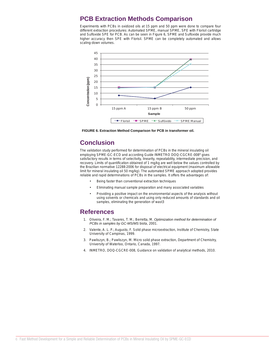## **PCB Extraction Methods Comparison**

Experiments with PCBs in oxidized oils at 15 ppm and 50 ppm were done to compare four different extraction procedures: Automated SPME, manual SPME, SPE with Florisil cartridge and Sulfoxide SPE for PCB. As can be seen in Figure 6, SPME and Sulfoxide provide much higher accuracy then SPE with Florisil. SPME can be completely automated and allows scaling-down volumes.



**FIGURE 6. Extraction Method Comparison for PCB in transformer oil.**

## **Conclusion**

The validation study performed for determination of PCBs in the mineral insulating oil employing SPME-GC-ECD and according Guide INMETRO DOQ-CGCRE-0084 gives satisfactory results in terms of selectivity, linearity, repeatability, intermediate precision, and recovery. Limits of quantification obtained of 1 mg/kg are well below the values controlled by the Brazilian normative 12288:2006 for disposal of electrical equipment (maximum allowable limit for mineral insulating oil 50 mg/kg). The automated SPME approach adopted provides reliable and rapid determinations of PCBs in the samples. It offers the advantages of:

- Being faster than conventional extraction techniques
- Eliminating manual sample preparation and many associated variables
- Providing a positive impact on the environmental aspects of the analysis without using solvents or chemicals and using only reduced amounts of standards and oil samples, eliminating the generation of wast3

## **References**

- 1. Oliveira, F. M.; Tavares, T. M.; Berretta, M. *Optimization method for determination of PCBs in samples by GC-MS/MS* biota, 2001.
- 2. Valente, A. L. P.; Augusto, F. Solid phase microextraction, Institute of Chemistry, State University of Campinas, 1999.
- 3. Pawliszyn, B.; Pawliszyn, M. Micro solid phase extraction, Department of Chemistry, University of Waterloo, Ontario, Canada, 1997.
- 4. INMETRO, DOQ-CGCRE-008, Guidance on validation of analytical methods, 2010.